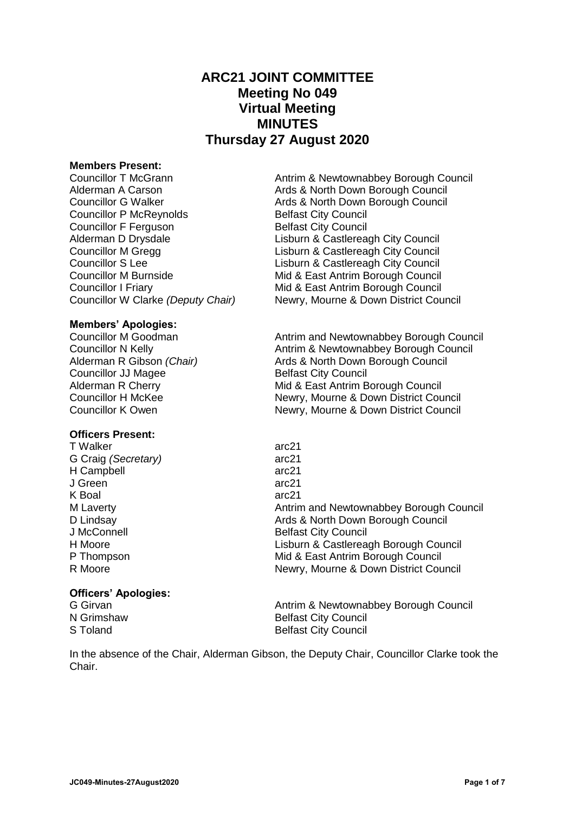# **ARC21 JOINT COMMITTEE Meeting No 049 Virtual Meeting MINUTES Thursday 27 August 2020**

#### **Members Present:**

Councillor P McReynolds Belfast City Council **Councillor F Ferguson Council Belfast City Council** 

## **Members' Apologies:**

**Councillor JJ Magee Belfast City Council** 

#### **Officers Present:**

T Walker arc21 G Craig *(Secretary)* arc21 H Campbell arc21 J Green arc21 K Boal arc21

## **Officers' Apologies:**

Councillor T McGrann **Antrim & Newtownabbey Borough Council** Alderman A Carson Ards & North Down Borough Council Councillor G Walker **Ards & North Down Borough Council** Alderman D Drysdale<br>
Councillor M Grega<br>
Lisburn & Castlereagh City Council<br>
Lisburn & Castlereagh City Council Lisburn & Castlereagh City Council Councillor S Lee Lisburn & Castlereagh City Council Councillor M Burnside Mid & East Antrim Borough Council Councillor I Friary Mid & East Antrim Borough Council Councillor W Clarke *(Deputy Chair)* Newry, Mourne & Down District Council

Councillor M Goodman **Antrim and Newtownabbey Borough Council** Councillor N Kelly **Antrim & Newtownabbey Borough Council** Alderman R Gibson *(Chair)* Ards & North Down Borough Council Alderman R Cherry **Mid & East Antrim Borough Council** Councillor H McKee Newry, Mourne & Down District Council Councillor K Owen Newry, Mourne & Down District Council

M Laverty **Antrim and Newtownabbey Borough Council** Antrim and Newtownabbey Borough Council D Lindsay Ards & North Down Borough Council J McConnell **Belfast City Council** H Moore Lisburn & Castlereagh Borough Council P Thompson Mid & East Antrim Borough Council R Moore **Newry, Mourne & Down District Council** R Moore

G Girvan **Antrim & Newtownabbey Borough Council**<br>
N Grimshaw **Antrim & Newtownabbey Borough Council**<br>
Belfast City Council **Belfast City Council** S Toland Belfast City Council

In the absence of the Chair, Alderman Gibson, the Deputy Chair, Councillor Clarke took the Chair.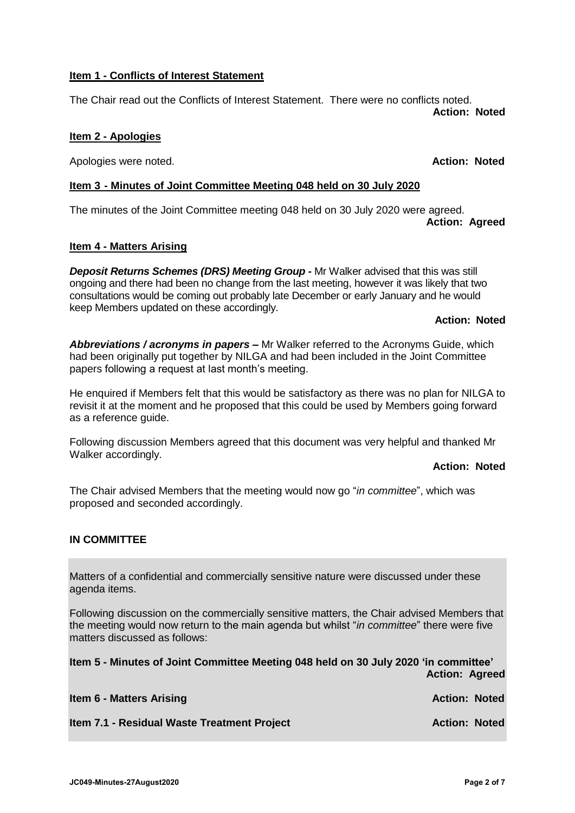## **Item 1 - Conflicts of Interest Statement**

The Chair read out the Conflicts of Interest Statement. There were no conflicts noted. **Action: Noted**

## **Item 2 - Apologies**

Apologies were noted. **Action: Noted**

## **Item 3 - Minutes of Joint Committee Meeting 048 held on 30 July 2020**

The minutes of the Joint Committee meeting 048 held on 30 July 2020 were agreed. **Action: Agreed**

## **Item 4 - Matters Arising**

*Deposit Returns Schemes (DRS) Meeting Group -* Mr Walker advised that this was still ongoing and there had been no change from the last meeting, however it was likely that two consultations would be coming out probably late December or early January and he would keep Members updated on these accordingly.

## **Action: Noted**

*Abbreviations / acronyms in papers –* Mr Walker referred to the Acronyms Guide, which had been originally put together by NILGA and had been included in the Joint Committee papers following a request at last month's meeting.

He enquired if Members felt that this would be satisfactory as there was no plan for NILGA to revisit it at the moment and he proposed that this could be used by Members going forward as a reference guide.

Following discussion Members agreed that this document was very helpful and thanked Mr Walker accordingly.

## **Action: Noted**

The Chair advised Members that the meeting would now go "*in committee*", which was proposed and seconded accordingly.

## **IN COMMITTEE**

Matters of a confidential and commercially sensitive nature were discussed under these agenda items.

Following discussion on the commercially sensitive matters, the Chair advised Members that the meeting would now return to the main agenda but whilst "*in committee*" there were five matters discussed as follows:

**Item 5 - Minutes of Joint Committee Meeting 048 held on 30 July 2020 'in committee' Action: Agreed**

| <b>Item 6 - Matters Arising</b>             | <b>Action: Noted</b> |  |
|---------------------------------------------|----------------------|--|
| Item 7.1 - Residual Waste Treatment Project | <b>Action: Noted</b> |  |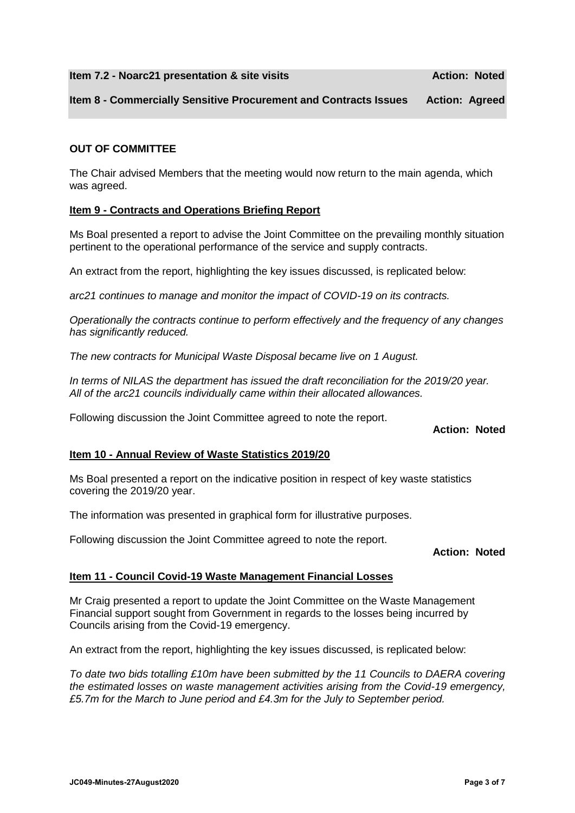#### **Item 7.2 - Noarc21 presentation & site visits Action: Noted** Action: Noted

### **Item 8 - Commercially Sensitive Procurement and Contracts Issues Action: Agreed**

#### **OUT OF COMMITTEE**

The Chair advised Members that the meeting would now return to the main agenda, which was agreed.

#### **Item 9 - Contracts and Operations Briefing Report**

Ms Boal presented a report to advise the Joint Committee on the prevailing monthly situation pertinent to the operational performance of the service and supply contracts.

An extract from the report, highlighting the key issues discussed, is replicated below:

*arc21 continues to manage and monitor the impact of COVID-19 on its contracts.* 

*Operationally the contracts continue to perform effectively and the frequency of any changes has significantly reduced.*

*The new contracts for Municipal Waste Disposal became live on 1 August.*

*In terms of NILAS the department has issued the draft reconciliation for the 2019/20 year. All of the arc21 councils individually came within their allocated allowances.*

Following discussion the Joint Committee agreed to note the report.

## **Action: Noted**

#### **Item 10 - Annual Review of Waste Statistics 2019/20**

Ms Boal presented a report on the indicative position in respect of key waste statistics covering the 2019/20 year.

The information was presented in graphical form for illustrative purposes.

Following discussion the Joint Committee agreed to note the report.

#### **Action: Noted**

#### **Item 11 - Council Covid-19 Waste Management Financial Losses**

Mr Craig presented a report to update the Joint Committee on the Waste Management Financial support sought from Government in regards to the losses being incurred by Councils arising from the Covid-19 emergency.

An extract from the report, highlighting the key issues discussed, is replicated below:

*To date two bids totalling £10m have been submitted by the 11 Councils to DAERA covering the estimated losses on waste management activities arising from the Covid-19 emergency, £5.7m for the March to June period and £4.3m for the July to September period.*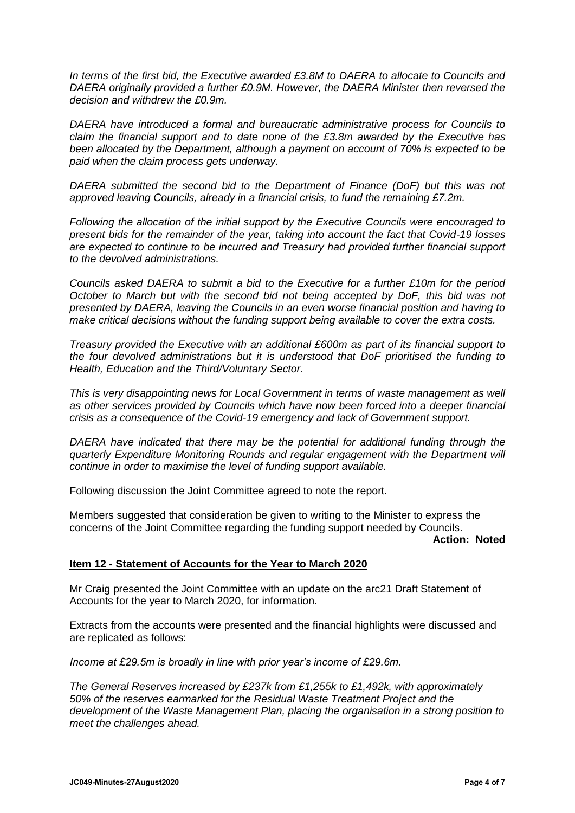*In terms of the first bid, the Executive awarded £3.8M to DAERA to allocate to Councils and DAERA originally provided a further £0.9M. However, the DAERA Minister then reversed the decision and withdrew the £0.9m.*

*DAERA have introduced a formal and bureaucratic administrative process for Councils to claim the financial support and to date none of the £3.8m awarded by the Executive has been allocated by the Department, although a payment on account of 70% is expected to be paid when the claim process gets underway.* 

*DAERA submitted the second bid to the Department of Finance (DoF) but this was not approved leaving Councils, already in a financial crisis, to fund the remaining £7.2m.*

*Following the allocation of the initial support by the Executive Councils were encouraged to present bids for the remainder of the year, taking into account the fact that Covid-19 losses are expected to continue to be incurred and Treasury had provided further financial support to the devolved administrations.* 

*Councils asked DAERA to submit a bid to the Executive for a further £10m for the period October to March but with the second bid not being accepted by DoF, this bid was not presented by DAERA, leaving the Councils in an even worse financial position and having to make critical decisions without the funding support being available to cover the extra costs.* 

*Treasury provided the Executive with an additional £600m as part of its financial support to the four devolved administrations but it is understood that DoF prioritised the funding to Health, Education and the Third/Voluntary Sector.*

*This is very disappointing news for Local Government in terms of waste management as well as other services provided by Councils which have now been forced into a deeper financial crisis as a consequence of the Covid-19 emergency and lack of Government support.*

*DAERA have indicated that there may be the potential for additional funding through the quarterly Expenditure Monitoring Rounds and regular engagement with the Department will continue in order to maximise the level of funding support available.*

Following discussion the Joint Committee agreed to note the report.

Members suggested that consideration be given to writing to the Minister to express the concerns of the Joint Committee regarding the funding support needed by Councils.

#### **Action: Noted**

#### **Item 12 - Statement of Accounts for the Year to March 2020**

Mr Craig presented the Joint Committee with an update on the arc21 Draft Statement of Accounts for the year to March 2020, for information.

Extracts from the accounts were presented and the financial highlights were discussed and are replicated as follows:

*Income at £29.5m is broadly in line with prior year's income of £29.6m.* 

*The General Reserves increased by £237k from £1,255k to £1,492k, with approximately 50% of the reserves earmarked for the Residual Waste Treatment Project and the development of the Waste Management Plan, placing the organisation in a strong position to meet the challenges ahead.*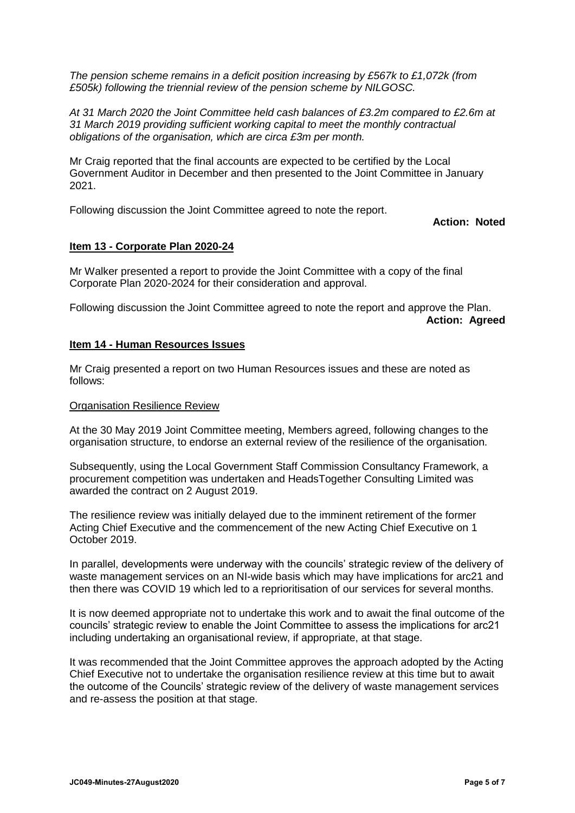*The pension scheme remains in a deficit position increasing by £567k to £1,072k (from £505k) following the triennial review of the pension scheme by NILGOSC.*

*At 31 March 2020 the Joint Committee held cash balances of £3.2m compared to £2.6m at 31 March 2019 providing sufficient working capital to meet the monthly contractual obligations of the organisation, which are circa £3m per month.* 

Mr Craig reported that the final accounts are expected to be certified by the Local Government Auditor in December and then presented to the Joint Committee in January 2021.

Following discussion the Joint Committee agreed to note the report.

**Action: Noted**

#### **Item 13 - Corporate Plan 2020-24**

Mr Walker presented a report to provide the Joint Committee with a copy of the final Corporate Plan 2020-2024 for their consideration and approval.

Following discussion the Joint Committee agreed to note the report and approve the Plan. **Action: Agreed**

#### **Item 14 - Human Resources Issues**

Mr Craig presented a report on two Human Resources issues and these are noted as follows:

#### Organisation Resilience Review

At the 30 May 2019 Joint Committee meeting, Members agreed, following changes to the organisation structure, to endorse an external review of the resilience of the organisation.

Subsequently, using the Local Government Staff Commission Consultancy Framework, a procurement competition was undertaken and HeadsTogether Consulting Limited was awarded the contract on 2 August 2019.

The resilience review was initially delayed due to the imminent retirement of the former Acting Chief Executive and the commencement of the new Acting Chief Executive on 1 October 2019.

In parallel, developments were underway with the councils' strategic review of the delivery of waste management services on an NI-wide basis which may have implications for arc21 and then there was COVID 19 which led to a reprioritisation of our services for several months.

It is now deemed appropriate not to undertake this work and to await the final outcome of the councils' strategic review to enable the Joint Committee to assess the implications for arc21 including undertaking an organisational review, if appropriate, at that stage.

It was recommended that the Joint Committee approves the approach adopted by the Acting Chief Executive not to undertake the organisation resilience review at this time but to await the outcome of the Councils' strategic review of the delivery of waste management services and re-assess the position at that stage.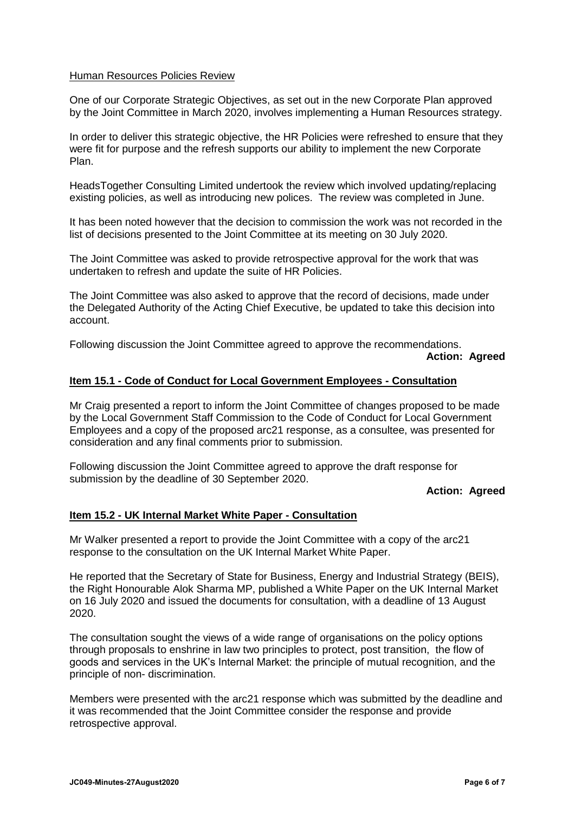### Human Resources Policies Review

One of our Corporate Strategic Objectives, as set out in the new Corporate Plan approved by the Joint Committee in March 2020, involves implementing a Human Resources strategy.

In order to deliver this strategic objective, the HR Policies were refreshed to ensure that they were fit for purpose and the refresh supports our ability to implement the new Corporate Plan.

HeadsTogether Consulting Limited undertook the review which involved updating/replacing existing policies, as well as introducing new polices. The review was completed in June.

It has been noted however that the decision to commission the work was not recorded in the list of decisions presented to the Joint Committee at its meeting on 30 July 2020.

The Joint Committee was asked to provide retrospective approval for the work that was undertaken to refresh and update the suite of HR Policies.

The Joint Committee was also asked to approve that the record of decisions, made under the Delegated Authority of the Acting Chief Executive, be updated to take this decision into account.

Following discussion the Joint Committee agreed to approve the recommendations.

#### **Action: Agreed**

#### **Item 15.1 - Code of Conduct for Local Government Employees - Consultation**

Mr Craig presented a report to inform the Joint Committee of changes proposed to be made by the Local Government Staff Commission to the Code of Conduct for Local Government Employees and a copy of the proposed arc21 response, as a consultee, was presented for consideration and any final comments prior to submission.

Following discussion the Joint Committee agreed to approve the draft response for submission by the deadline of 30 September 2020.

#### **Action: Agreed**

#### **Item 15.2 - UK Internal Market White Paper - Consultation**

Mr Walker presented a report to provide the Joint Committee with a copy of the arc21 response to the consultation on the UK Internal Market White Paper.

He reported that the Secretary of State for Business, Energy and Industrial Strategy (BEIS), the Right Honourable Alok Sharma MP, published a White Paper on the UK Internal Market on 16 July 2020 and issued the documents for consultation, with a deadline of 13 August 2020.

The consultation sought the views of a wide range of organisations on the policy options through proposals to enshrine in law two principles to protect, post transition, the flow of goods and services in the UK's Internal Market: the principle of mutual recognition, and the principle of non- discrimination.

Members were presented with the arc21 response which was submitted by the deadline and it was recommended that the Joint Committee consider the response and provide retrospective approval.